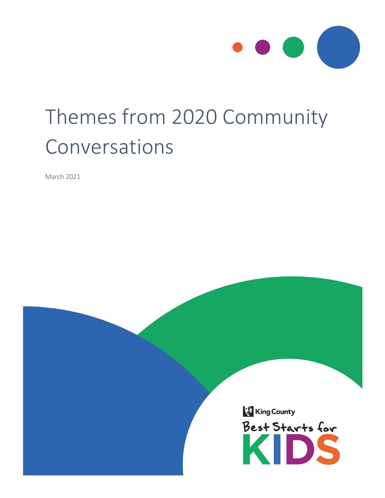

# Themes from 2020 Community Conversations

March 2021

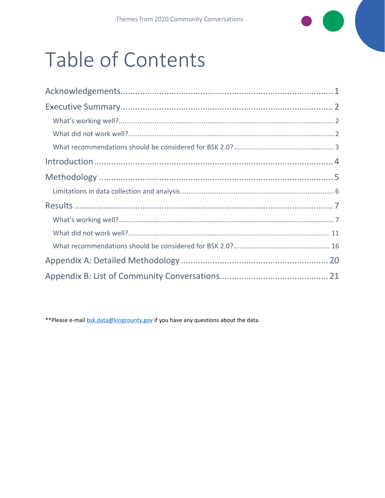

\*\*Please e-mail bsk.data@kingcounty.gov if you have any questions about the data.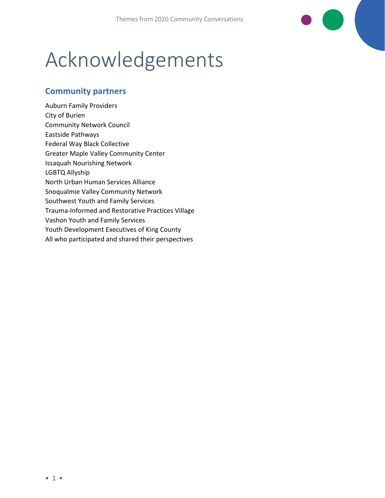

## <span id="page-2-0"></span>Acknowledgements

#### **Community partners**

Auburn Family Providers City of Burien Community Network Council Eastside Pathways Federal Way Black Collective Greater Maple Valley Community Center Issaquah Nourishing Network LGBTQ Allyship North Urban Human Services Alliance Snoqualmie Valley Community Network Southwest Youth and Family Services Trauma-Informed and Restorative Practices Village Vashon Youth and Family Services Youth Development Executives of King County All who participated and shared their perspectives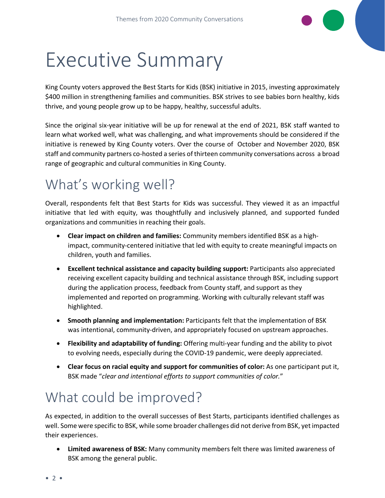## <span id="page-3-0"></span>Executive Summary

King County voters approved the Best Starts for Kids (BSK) initiative in 2015, investing approximately \$400 million in strengthening families and communities. BSK strives to see babies born healthy, kids thrive, and young people grow up to be happy, healthy, successful adults.

Since the original six-year initiative will be up for renewal at the end of 2021, BSK staff wanted to learn what worked well, what was challenging, and what improvements should be considered if the initiative is renewed by King County voters. Over the course of October and November 2020, BSK staff and community partners co-hosted a series of thirteen community conversations across a broad range of geographic and cultural communities in King County.

## <span id="page-3-1"></span>What's working well?

Overall, respondents felt that Best Starts for Kids was successful. They viewed it as an impactful initiative that led with equity, was thoughtfully and inclusively planned, and supported funded organizations and communities in reaching their goals.

- **Clear impact on children and families:** Community members identified BSK as a highimpact, community-centered initiative that led with equity to create meaningful impacts on children, youth and families.
- **Excellent technical assistance and capacity building support:** Participants also appreciated receiving excellent capacity building and technical assistance through BSK, including support during the application process, feedback from County staff, and support as they implemented and reported on programming. Working with culturally relevant staff was highlighted.
- **Smooth planning and implementation:** Participants felt that the implementation of BSK was intentional, community-driven, and appropriately focused on upstream approaches.
- **Flexibility and adaptability of funding:** Offering multi-year funding and the ability to pivot to evolving needs, especially during the COVID-19 pandemic, were deeply appreciated.
- **Clear focus on racial equity and support for communities of color:** As one participant put it, BSK made "*clear and intentional efforts to support communities of color.*"

## <span id="page-3-2"></span>What could be improved?

As expected, in addition to the overall successes of Best Starts, participants identified challenges as well. Some were specific to BSK, while some broader challenges did not derive from BSK, yet impacted their experiences.

• **Limited awareness of BSK:** Many community members felt there was limited awareness of BSK among the general public.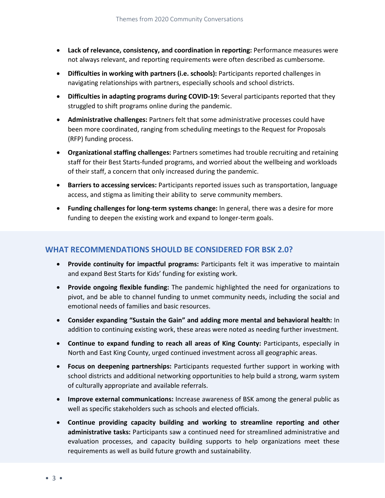- **Lack of relevance, consistency, and coordination in reporting:** Performance measures were not always relevant, and reporting requirements were often described as cumbersome.
- **Difficulties in working with partners (i.e. schools):** Participants reported challenges in navigating relationships with partners, especially schools and school districts.
- **Difficulties in adapting programs during COVID-19:** Several participants reported that they struggled to shift programs online during the pandemic.
- **Administrative challenges:** Partners felt that some administrative processes could have been more coordinated, ranging from scheduling meetings to the Request for Proposals (RFP) funding process.
- **Organizational staffing challenges:** Partners sometimes had trouble recruiting and retaining staff for their Best Starts-funded programs, and worried about the wellbeing and workloads of their staff, a concern that only increased during the pandemic.
- **Barriers to accessing services:** Participants reported issues such as transportation, language access, and stigma as limiting their ability to serve community members.
- **Funding challenges for long-term systems change:** In general, there was a desire for more funding to deepen the existing work and expand to longer-term goals.

#### <span id="page-4-0"></span>**WHAT RECOMMENDATIONS SHOULD BE CONSIDERED FOR BSK 2.0?**

- **Provide continuity for impactful programs:** Participants felt it was imperative to maintain and expand Best Starts for Kids' funding for existing work.
- **Provide ongoing flexible funding:** The pandemic highlighted the need for organizations to pivot, and be able to channel funding to unmet community needs, including the social and emotional needs of families and basic resources.
- **Consider expanding "Sustain the Gain" and adding more mental and behavioral health:** In addition to continuing existing work, these areas were noted as needing further investment.
- **Continue to expand funding to reach all areas of King County:** Participants, especially in North and East King County, urged continued investment across all geographic areas.
- **Focus on deepening partnerships:** Participants requested further support in working with school districts and additional networking opportunities to help build a strong, warm system of culturally appropriate and available referrals.
- **Improve external communications:** Increase awareness of BSK among the general public as well as specific stakeholders such as schools and elected officials.
- **Continue providing capacity building and working to streamline reporting and other administrative tasks:** Participants saw a continued need for streamlined administrative and evaluation processes, and capacity building supports to help organizations meet these requirements as well as build future growth and sustainability.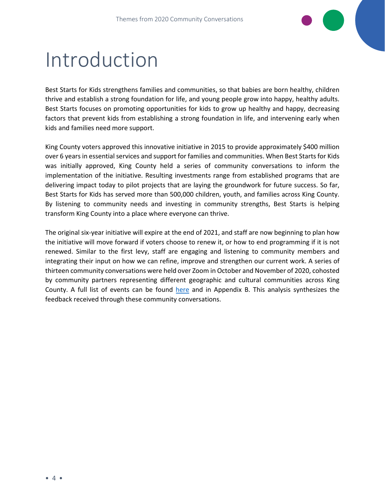

## <span id="page-5-0"></span>Introduction

Best Starts for Kids strengthens families and communities, so that babies are born healthy, children thrive and establish a strong foundation for life, and young people grow into happy, healthy adults. Best Starts focuses on promoting opportunities for kids to grow up healthy and happy, decreasing factors that prevent kids from establishing a strong foundation in life, and intervening early when kids and families need more support.

King County voters approved this innovative initiative in 2015 to provide approximately \$400 million over 6 years in essential services and support for families and communities. When Best Starts for Kids was initially approved, King County held a series of community conversations to inform the implementation of the initiative. Resulting investments range from established programs that are delivering impact today to pilot projects that are laying the groundwork for future success. So far, Best Starts for Kids has served more than 500,000 children, youth, and families across King County. By listening to community needs and investing in community strengths, Best Starts is helping transform King County into a place where everyone can thrive.

The original six-year initiative will expire at the end of 2021, and staff are now beginning to plan how the initiative will move forward if voters choose to renew it, or how to end programming if it is not renewed. Similar to the first levy, staff are engaging and listening to community members and integrating their input on how we can refine, improve and strengthen our current work. A series of thirteen community conversations were held over Zoom in October and November of 2020, cohosted by community partners representing different geographic and cultural communities across King County. A full list of events can be found [here](https://beststartsblog.com/2020/10/06/best-starts-for-kids-community-conversations/) and in Appendix B. This analysis synthesizes the feedback received through these community conversations.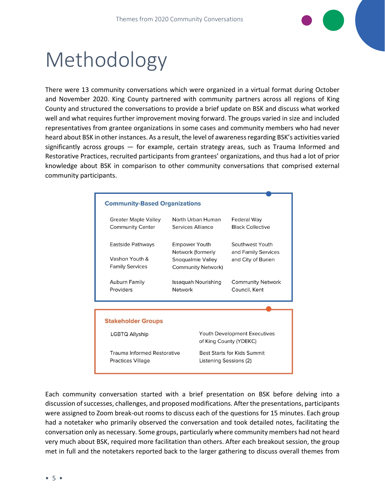

<span id="page-6-0"></span>There were 13 community conversations which were organized in a virtual format during October and November 2020. King County partnered with community partners across all regions of King County and structured the conversations to provide a brief update on BSK and discuss what worked well and what requires further improvement moving forward. The groups varied in size and included representatives from grantee organizations in some cases and community members who had never heard about BSK in other instances. As a result, the level of awareness regarding BSK's activities varied significantly across groups — for example, certain strategy areas, such as Trauma Informed and Restorative Practices, recruited participants from grantees' organizations, and thus had a lot of prior knowledge about BSK in comparison to other community conversations that comprised external community participants.

#### **Community-Based Organizations**

| <b>Greater Maple Valley</b><br><b>Community Center</b>        | North Urban Human<br>Services Alliance                                                      | Federal Way<br><b>Black Collective</b>                       |
|---------------------------------------------------------------|---------------------------------------------------------------------------------------------|--------------------------------------------------------------|
| Eastside Pathways<br>Vashon Youth &<br><b>Family Services</b> | <b>Empower Youth</b><br>Network (formerly<br>Snoqualmie Valley<br><b>Community Network)</b> | Southwest Youth<br>and Family Services<br>and City of Burien |
| <b>Auburn Family</b><br>Providers                             | Issaquah Nourishing<br>Network                                                              | <b>Community Network</b><br>Council, Kent                    |
|                                                               |                                                                                             |                                                              |
| <b>Stakeholder Groups</b>                                     |                                                                                             |                                                              |

Youth Development Executives **LGBTQ Allyship** of King County (YDEKC) Trauma Informed Restorative Best Starts for Kids Summit **Practices Village** Listening Sessions (2)

Each community conversation started with a brief presentation on BSK before delving into a discussion of successes, challenges, and proposed modifications. After the presentations, participants were assigned to Zoom break-out rooms to discuss each of the questions for 15 minutes. Each group had a notetaker who primarily observed the conversation and took detailed notes, facilitating the conversation only as necessary. Some groups, particularly where community members had not heard very much about BSK, required more facilitation than others. After each breakout session, the group met in full and the notetakers reported back to the larger gathering to discuss overall themes from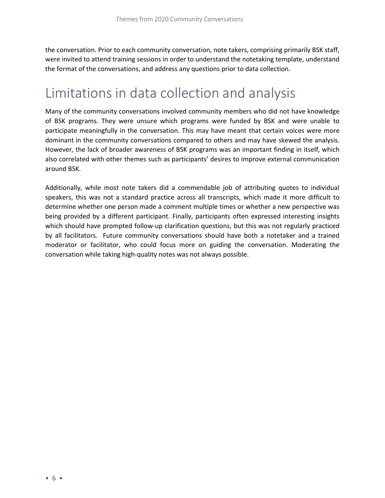the conversation. Prior to each community conversation, note takers, comprising primarily BSK staff, were invited to attend training sessions in order to understand the notetaking template, understand the format of the conversations, and address any questions prior to data collection.

### <span id="page-7-0"></span>Limitations in data collection and analysis

Many of the community conversations involved community members who did not have knowledge of BSK programs. They were unsure which programs were funded by BSK and were unable to participate meaningfully in the conversation. This may have meant that certain voices were more dominant in the community conversations compared to others and may have skewed the analysis. However, the lack of broader awareness of BSK programs was an important finding in itself, which also correlated with other themes such as participants' desires to improve external communication around BSK.

Additionally, while most note takers did a commendable job of attributing quotes to individual speakers, this was not a standard practice across all transcripts, which made it more difficult to determine whether one person made a comment multiple times or whether a new perspective was being provided by a different participant. Finally, participants often expressed interesting insights which should have prompted follow-up clarification questions, but this was not regularly practiced by all facilitators. Future community conversations should have both a notetaker and a trained moderator or facilitator, who could focus more on guiding the conversation. Moderating the conversation while taking high-quality notes was not always possible.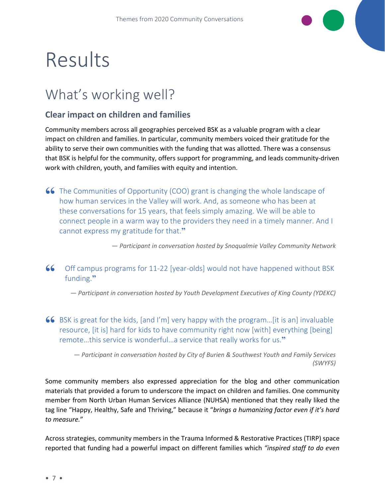

## Results

### <span id="page-8-0"></span>What's working well?

#### **Clear impact on children and families**

Community members across all geographies perceived BSK as a valuable program with a clear impact on children and families. In particular, community members voiced their gratitude for the ability to serve their own communities with the funding that was allotted. There was a consensus that BSK is helpful for the community, offers support for programming, and leads community-driven work with children, youth, and families with equity and intention.

**66** The Communities of Opportunity (COO) grant is changing the whole landscape of how human services in the Valley will work. And, as someone who has been at these conversations for 15 years, that feels simply amazing. We will be able to connect people in a warm way to the providers they need in a timely manner. And I cannot express my gratitude for that.**"**

*— Participant in conversation hosted by Snoqualmie Valley Community Network*

**66** Off campus programs for 11-22 [year-olds] would not have happened without BSK funding.**"**

*— Participant in conversation hosted by Youth Development Executives of King County (YDEKC)*

**66** BSK is great for the kids, [and I'm] very happy with the program...[it is an] invaluable resource, [it is] hard for kids to have community right now [with] everything [being] remote…this service is wonderful…a service that really works for us.**"**

*— Participant in conversation hosted by City of Burien & Southwest Youth and Family Services (SWYFS)*

Some community members also expressed appreciation for the blog and other communication materials that provided a forum to underscore the impact on children and families. One community member from North Urban Human Services Alliance (NUHSA) mentioned that they really liked the tag line "Happy, Healthy, Safe and Thriving," because it "*brings a humanizing factor even if it's hard to measure.*"

Across strategies, community members in the Trauma Informed & Restorative Practices (TIRP) space reported that funding had a powerful impact on different families which *"inspired staff to do even*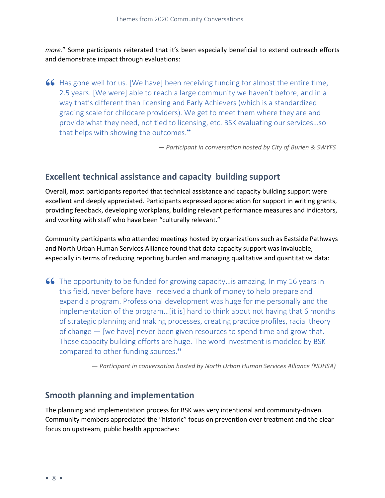*more.*" Some participants reiterated that it's been especially beneficial to extend outreach efforts and demonstrate impact through evaluations:

**66** Has gone well for us. [We have] been receiving funding for almost the entire time, 2.5 years. [We were] able to reach a large community we haven't before, and in a way that's different than licensing and Early Achievers (which is a standardized grading scale for childcare providers). We get to meet them where they are and provide what they need, not tied to licensing, etc. BSK evaluating our services…so that helps with showing the outcomes.**"**

*— Participant in conversation hosted by City of Burien & SWYFS*

#### **Excellent technical assistance and capacity building support**

Overall, most participants reported that technical assistance and capacity building support were excellent and deeply appreciated. Participants expressed appreciation for support in writing grants, providing feedback, developing workplans, building relevant performance measures and indicators, and working with staff who have been "culturally relevant."

Community participants who attended meetings hosted by organizations such as Eastside Pathways and North Urban Human Services Alliance found that data capacity support was invaluable, especially in terms of reducing reporting burden and managing qualitative and quantitative data:

**66** The opportunity to be funded for growing capacity…is amazing. In my 16 years in this field, never before have I received a chunk of money to help prepare and expand a program. Professional development was huge for me personally and the implementation of the program…[it is] hard to think about not having that 6 months of strategic planning and making processes, creating practice profiles, racial theory of change — [we have] never been given resources to spend time and grow that. Those capacity building efforts are huge. The word investment is modeled by BSK compared to other funding sources.**"**

*— Participant in conversation hosted by North Urban Human Services Alliance (NUHSA)*

#### **Smooth planning and implementation**

The planning and implementation process for BSK was very intentional and community-driven. Community members appreciated the "historic" focus on prevention over treatment and the clear focus on upstream, public health approaches: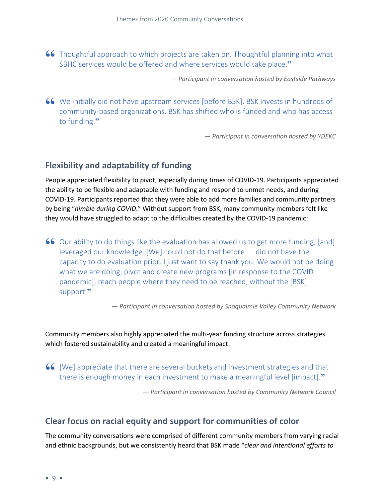**66** Thoughtful approach to which projects are taken on. Thoughtful planning into what SBHC services would be offered and where services would take place.**"**

*— Participant in conversation hosted by Eastside Pathways* 

**66** We initially did not have upstream services [before BSK]. BSK invests in hundreds of community-based organizations. BSK has shifted who is funded and who has access to funding.**"**

*— Participant in conversation hosted by YDEKC* 

#### **Flexibility and adaptability of funding**

People appreciated flexibility to pivot, especially during times of COVID-19. Participants appreciated the ability to be flexible and adaptable with funding and respond to unmet needs, and during COVID-19. Participants reported that they were able to add more families and community partners by being "*nimble during COVID*." Without support from BSK, many community members felt like they would have struggled to adapt to the difficulties created by the COVID-19 pandemic:

**66** Our ability to do things like the evaluation has allowed us to get more funding, [and] leveraged our knowledge. [We] could not do that before — did not have the capacity to do evaluation prior. I just want to say thank you. We would not be doing what we are doing, pivot and create new programs [in response to the COVID pandemic], reach people where they need to be reached, without the [BSK] support.**"**

*— Participant in conversation hosted by Snoqualmie Valley Community Network* 

Community members also highly appreciated the multi-year funding structure across strategies which fostered sustainability and created a meaningful impact:

#### **66** [We] appreciate that there are several buckets and investment strategies and that there is enough money in each investment to make a meaningful level [impact].**"**

*— Participant in conversation hosted by Community Network Council* 

#### **Clear focus on racial equity and support for communities of color**

The community conversations were comprised of different community members from varying racial and ethnic backgrounds, but we consistently heard that BSK made "*clear and intentional efforts to*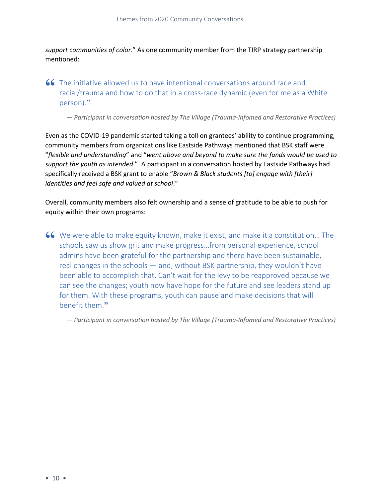*support communities of color*." As one community member from the TIRP strategy partnership mentioned:

**46** The initiative allowed us to have intentional conversations around race and racial/trauma and how to do that in a cross-race dynamic (even for me as a White person).**"**

*— Participant in conversation hosted by The Village (Trauma-Infomed and Restorative Practices)* 

Even as the COVID-19 pandemic started taking a toll on grantees' ability to continue programming, community members from organizations like Eastside Pathways mentioned that BSK staff were "*flexible and understanding*" and "*went above and beyond to make sure the funds would be used to support the youth as intended*." A participant in a conversation hosted by Eastside Pathways had specifically received a BSK grant to enable "*Brown & Black students [to] engage with [their] identities and feel safe and valued at school*."

Overall, community members also felt ownership and a sense of gratitude to be able to push for equity within their own programs:

**66** We were able to make equity known, make it exist, and make it a constitution... The schools saw us show grit and make progress…from personal experience, school admins have been grateful for the partnership and there have been sustainable, real changes in the schools — and, without BSK partnership, they wouldn't have been able to accomplish that. Can't wait for the levy to be reapproved because we can see the changes; youth now have hope for the future and see leaders stand up for them. With these programs, youth can pause and make decisions that will benefit them.**"**

<span id="page-11-0"></span>*— Participant in conversation hosted by The Village (Trauma-Infomed and Restorative Practices)*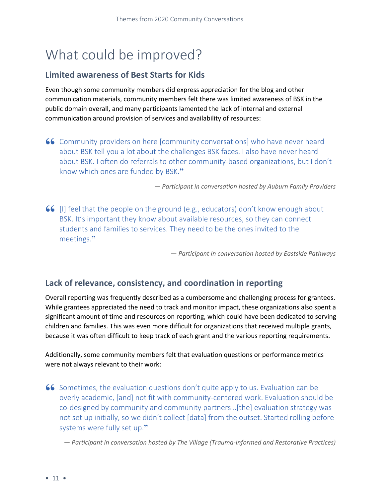## What could be improved?

#### **Limited awareness of Best Starts for Kids**

Even though some community members did express appreciation for the blog and other communication materials, community members felt there was limited awareness of BSK in the public domain overall, and many participants lamented the lack of internal and external communication around provision of services and availability of resources:

**66** Community providers on here [community conversations] who have never heard about BSK tell you a lot about the challenges BSK faces. I also have never heard about BSK. I often do referrals to other community-based organizations, but I don't know which ones are funded by BSK.**"**

*— Participant in conversation hosted by Auburn Family Providers* 

**66** [I] feel that the people on the ground (e.g., educators) don't know enough about BSK. It's important they know about available resources, so they can connect students and families to services. They need to be the ones invited to the meetings.**"**

*— Participant in conversation hosted by Eastside Pathways* 

#### **Lack of relevance, consistency, and coordination in reporting**

Overall reporting was frequently described as a cumbersome and challenging process for grantees. While grantees appreciated the need to track and monitor impact, these organizations also spent a significant amount of time and resources on reporting, which could have been dedicated to serving children and families. This was even more difficult for organizations that received multiple grants, because it was often difficult to keep track of each grant and the various reporting requirements.

Additionally, some community members felt that evaluation questions or performance metrics were not always relevant to their work:

**66** Sometimes, the evaluation questions don't quite apply to us. Evaluation can be overly academic, [and] not fit with community-centered work. Evaluation should be co-designed by community and community partners…[the] evaluation strategy was not set up initially, so we didn't collect [data] from the outset. Started rolling before systems were fully set up.**"**

*— Participant in conversation hosted by The Village (Trauma-Informed and Restorative Practices)*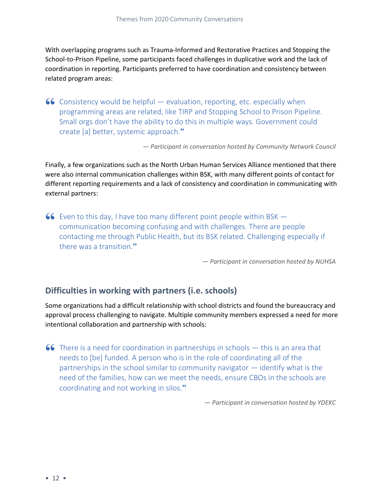With overlapping programs such as Trauma-Informed and Restorative Practices and Stopping the School-to-Prison Pipeline, some participants faced challenges in duplicative work and the lack of coordination in reporting. Participants preferred to have coordination and consistency between related program areas:

**66** Consistency would be helpful — evaluation, reporting, etc. especially when programming areas are related, like TIRP and Stopping School to Prison Pipeline. Small orgs don't have the ability to do this in multiple ways. Government could create [a] better, systemic approach.**"**

*— Participant in conversation hosted by Community Network Council* 

Finally, a few organizations such as the North Urban Human Services Alliance mentioned that there were also internal communication challenges within BSK, with many different points of contact for different reporting requirements and a lack of consistency and coordination in communicating with external partners:

**66** Even to this day, I have too many different point people within BSK communication becoming confusing and with challenges. There are people contacting me through Public Health, but its BSK related. Challenging especially if there was a transition.**"**

*— Participant in conversation hosted by NUHSA* 

#### **Difficulties in working with partners (i.e. schools)**

Some organizations had a difficult relationship with school districts and found the bureaucracy and approval process challenging to navigate. Multiple community members expressed a need for more intentional collaboration and partnership with schools:

**66** There is a need for coordination in partnerships in schools — this is an area that needs to [be] funded. A person who is in the role of coordinating all of the partnerships in the school similar to community navigator — identify what is the need of the families, how can we meet the needs, ensure CBOs in the schools are coordinating and not working in silos.**"**

*— Participant in conversation hosted by YDEKC*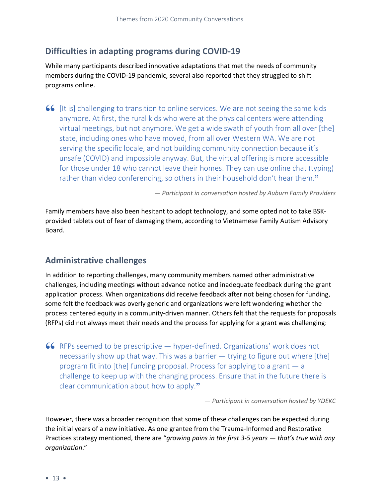#### **Difficulties in adapting programs during COVID-19**

While many participants described innovative adaptations that met the needs of community members during the COVID-19 pandemic, several also reported that they struggled to shift programs online.

**66** [It is] challenging to transition to online services. We are not seeing the same kids anymore. At first, the rural kids who were at the physical centers were attending virtual meetings, but not anymore. We get a wide swath of youth from all over [the] state, including ones who have moved, from all over Western WA. We are not serving the specific locale, and not building community connection because it's unsafe (COVID) and impossible anyway. But, the virtual offering is more accessible for those under 18 who cannot leave their homes. They can use online chat (typing) rather than video conferencing, so others in their household don't hear them.**"**

*— Participant in conversation hosted by Auburn Family Providers* 

Family members have also been hesitant to adopt technology, and some opted not to take BSKprovided tablets out of fear of damaging them, according to Vietnamese Family Autism Advisory Board.

#### **Administrative challenges**

In addition to reporting challenges, many community members named other administrative challenges, including meetings without advance notice and inadequate feedback during the grant application process. When organizations did receive feedback after not being chosen for funding, some felt the feedback was overly generic and organizations were left wondering whether the process centered equity in a community-driven manner. Others felt that the requests for proposals (RFPs) did not always meet their needs and the process for applying for a grant was challenging:

**66** RFPs seemed to be prescriptive — hyper-defined. Organizations' work does not necessarily show up that way. This was a barrier — trying to figure out where [the] program fit into [the] funding proposal. Process for applying to a grant — a challenge to keep up with the changing process. Ensure that in the future there is clear communication about how to apply.**"**

*— Participant in conversation hosted by YDEKC* 

However, there was a broader recognition that some of these challenges can be expected during the initial years of a new initiative. As one grantee from the Trauma-Informed and Restorative Practices strategy mentioned, there are "*growing pains in the first 3-5 years — that's true with any organization*."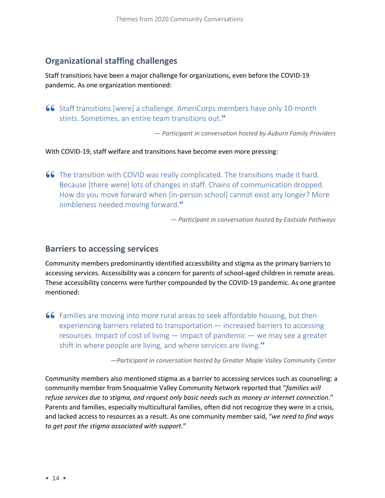#### **Organizational staffing challenges**

Staff transitions have been a major challenge for organizations, even before the COVID-19 pandemic. As one organization mentioned:

**66** Staff transitions [were] a challenge. AmeriCorps members have only 10-month stints. Sometimes, an entire team transitions out.**"**

*— Participant in conversation hosted by Auburn Family Providers* 

With COVID-19, staff welfare and transitions have become even more pressing:

**66** The transition with COVID was really complicated. The transitions made it hard. Because [there were] lots of changes in staff. Chains of communication dropped. How do you move forward when [in-person school] cannot exist any longer? More nimbleness needed moving forward.**"**

*— Participant in conversation hosted by Eastside Pathways* 

#### **Barriers to accessing services**

Community members predominantly identified accessibility and stigma as the primary barriers to accessing services. Accessibility was a concern for parents of school-aged children in remote areas. These accessibility concerns were further compounded by the COVID-19 pandemic. As one grantee mentioned:

**66** Families are moving into more rural areas to seek affordable housing, but then experiencing barriers related to transportation — increased barriers to accessing resources. Impact of cost of living — impact of pandemic — we may see a greater shift in where people are living, and where services are living.**"**

*—Participant in conversation hosted by Greater Maple Valley Community Center*

Community members also mentioned stigma as a barrier to accessing services such as counseling: a community member from Snoqualmie Valley Community Network reported that "*families will refuse services due to stigma, and request only basic needs such as money or internet connection*." Parents and families, especially multicultural families, often did not recognize they were in a crisis, and lacked access to resources as a result. As one community member said, "*we need to find ways to get past the stigma associated with support*."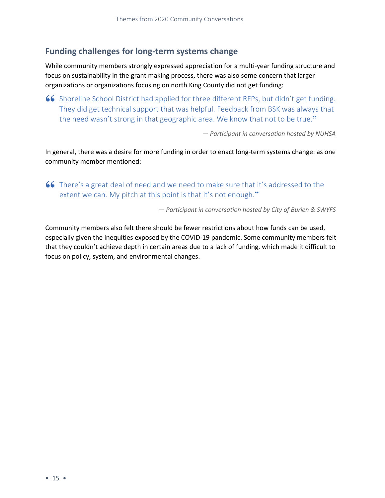#### **Funding challenges for long-term systems change**

While community members strongly expressed appreciation for a multi-year funding structure and focus on sustainability in the grant making process, there was also some concern that larger organizations or organizations focusing on north King County did not get funding:

**66** Shoreline School District had applied for three different RFPs, but didn't get funding. They did get technical support that was helpful. Feedback from BSK was always that the need wasn't strong in that geographic area. We know that not to be true.**"**

*— Participant in conversation hosted by NUHSA* 

In general, there was a desire for more funding in order to enact long-term systems change: as one community member mentioned:

**66** There's a great deal of need and we need to make sure that it's addressed to the extent we can. My pitch at this point is that it's not enough.**"**

*— Participant in conversation hosted by City of Burien & SWYFS* 

Community members also felt there should be fewer restrictions about how funds can be used, especially given the inequities exposed by the COVID-19 pandemic. Some community members felt that they couldn't achieve depth in certain areas due to a lack of funding, which made it difficult to focus on policy, system, and environmental changes.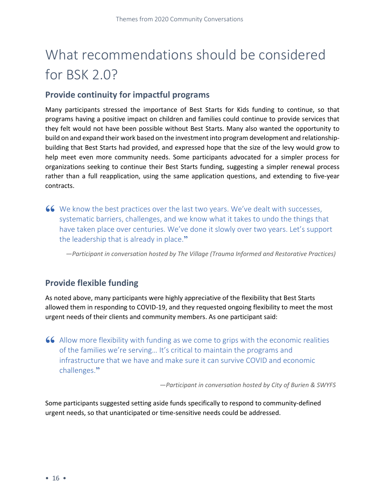## <span id="page-17-0"></span>What recommendations should be considered for BSK 2.0?

#### **Provide continuity for impactful programs**

Many participants stressed the importance of Best Starts for Kids funding to continue, so that programs having a positive impact on children and families could continue to provide services that they felt would not have been possible without Best Starts. Many also wanted the opportunity to build on and expand their work based on the investment into program development and relationshipbuilding that Best Starts had provided, and expressed hope that the size of the levy would grow to help meet even more community needs. Some participants advocated for a simpler process for organizations seeking to continue their Best Starts funding, suggesting a simpler renewal process rather than a full reapplication, using the same application questions, and extending to five-year contracts.

**66** We know the best practices over the last two years. We've dealt with successes, systematic barriers, challenges, and we know what it takes to undo the things that have taken place over centuries. We've done it slowly over two years. Let's support the leadership that is already in place.**"**

*—Participant in conversation hosted by The Village (Trauma Informed and Restorative Practices)* 

#### **Provide flexible funding**

As noted above, many participants were highly appreciative of the flexibility that Best Starts allowed them in responding to COVID-19, and they requested ongoing flexibility to meet the most urgent needs of their clients and community members. As one participant said:

**66** Allow more flexibility with funding as we come to grips with the economic realities of the families we're serving… It's critical to maintain the programs and infrastructure that we have and make sure it can survive COVID and economic challenges.**"**

*—Participant in conversation hosted by City of Burien & SWYFS* 

Some participants suggested setting aside funds specifically to respond to community-defined urgent needs, so that unanticipated or time-sensitive needs could be addressed.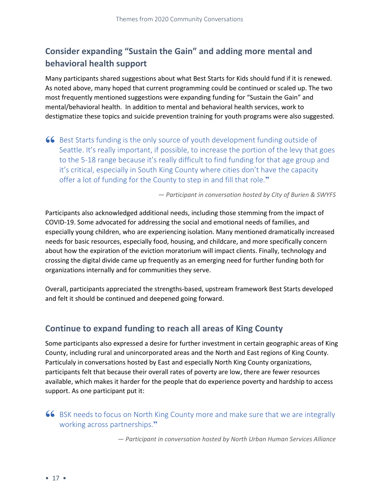#### **Consider expanding "Sustain the Gain" and adding more mental and behavioral health support**

Many participants shared suggestions about what Best Starts for Kids should fund if it is renewed. As noted above, many hoped that current programming could be continued or scaled up. The two most frequently mentioned suggestions were expanding funding for "Sustain the Gain" and mental/behavioral health. In addition to mental and behavioral health services, work to destigmatize these topics and suicide prevention training for youth programs were also suggested.

**46** Best Starts funding is the only source of youth development funding outside of Seattle. It's really important, if possible, to increase the portion of the levy that goes to the 5-18 range because it's really difficult to find funding for that age group and it's critical, especially in South King County where cities don't have the capacity offer a lot of funding for the County to step in and fill that role.**"**

*— Participant in conversation hosted by City of Burien & SWYFS*

Participants also acknowledged additional needs, including those stemming from the impact of COVID-19. Some advocated for addressing the social and emotional needs of families, and especially young children, who are experiencing isolation. Many mentioned dramatically increased needs for basic resources, especially food, housing, and childcare, and more specifically concern about how the expiration of the eviction moratorium will impact clients. Finally, technology and crossing the digital divide came up frequently as an emerging need for further funding both for organizations internally and for communities they serve.

Overall, participants appreciated the strengths-based, upstream framework Best Starts developed and felt it should be continued and deepened going forward.

#### **Continue to expand funding to reach all areas of King County**

Some participants also expressed a desire for further investment in certain geographic areas of King County, including rural and unincorporated areas and the North and East regions of King County. Particulaly in conversations hosted by East and especially North King County organizations, participants felt that because their overall rates of poverty are low, there are fewer resources available, which makes it harder for the people that do experience poverty and hardship to access support. As one participant put it:

#### **66** BSK needs to focus on North King County more and make sure that we are integrally working across partnerships.**"**

*— Participant in conversation hosted by North Urban Human Services Alliance*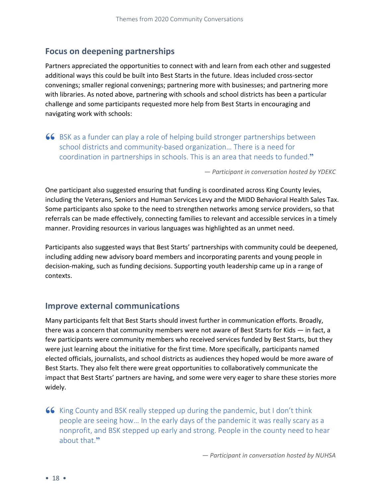#### **Focus on deepening partnerships**

Partners appreciated the opportunities to connect with and learn from each other and suggested additional ways this could be built into Best Starts in the future. Ideas included cross-sector convenings; smaller regional convenings; partnering more with businesses; and partnering more with libraries. As noted above, partnering with schools and school districts has been a particular challenge and some participants requested more help from Best Starts in encouraging and navigating work with schools:

**66** BSK as a funder can play a role of helping build stronger partnerships between school districts and community-based organization… There is a need for coordination in partnerships in schools. This is an area that needs to funded.**"**

*— Participant in conversation hosted by YDEKC* 

One participant also suggested ensuring that funding is coordinated across King County levies, including the Veterans, Seniors and Human Services Levy and the MIDD Behavioral Health Sales Tax. Some participants also spoke to the need to strengthen networks among service providers, so that referrals can be made effectively, connecting families to relevant and accessible services in a timely manner. Providing resources in various languages was highlighted as an unmet need.

Participants also suggested ways that Best Starts' partnerships with community could be deepened, including adding new advisory board members and incorporating parents and young people in decision-making, such as funding decisions. Supporting youth leadership came up in a range of contexts.

#### **Improve external communications**

Many participants felt that Best Starts should invest further in communication efforts. Broadly, there was a concern that community members were not aware of Best Starts for Kids — in fact, a few participants were community members who received services funded by Best Starts, but they were just learning about the initiative for the first time. More specifically, participants named elected officials, journalists, and school districts as audiences they hoped would be more aware of Best Starts. They also felt there were great opportunities to collaboratively communicate the impact that Best Starts' partners are having, and some were very eager to share these stories more widely.

**66** King County and BSK really stepped up during the pandemic, but I don't think people are seeing how… In the early days of the pandemic it was really scary as a nonprofit, and BSK stepped up early and strong. People in the county need to hear about that.**"**

*— Participant in conversation hosted by NUHSA*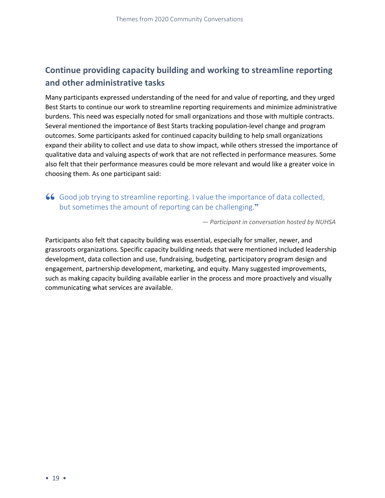#### **Continue providing capacity building and working to streamline reporting and other administrative tasks**

Many participants expressed understanding of the need for and value of reporting, and they urged Best Starts to continue our work to streamline reporting requirements and minimize administrative burdens. This need was especially noted for small organizations and those with multiple contracts. Several mentioned the importance of Best Starts tracking population-level change and program outcomes. Some participants asked for continued capacity building to help small organizations expand their ability to collect and use data to show impact, while others stressed the importance of qualitative data and valuing aspects of work that are not reflected in performance measures. Some also felt that their performance measures could be more relevant and would like a greater voice in choosing them. As one participant said:

#### **66** Good job trying to streamline reporting. I value the importance of data collected, but sometimes the amount of reporting can be challenging.**"**

*— Participant in conversation hosted by NUHSA* 

Participants also felt that capacity building was essential, especially for smaller, newer, and grassroots organizations. Specific capacity building needs that were mentioned included leadership development, data collection and use, fundraising, budgeting, participatory program design and engagement, partnership development, marketing, and equity. Many suggested improvements, such as making capacity building available earlier in the process and more proactively and visually communicating what services are available.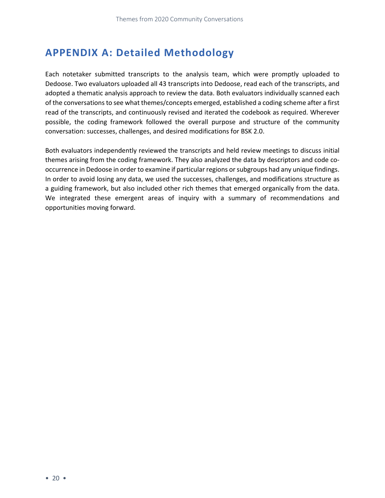#### <span id="page-21-0"></span>**APPENDIX A: Detailed Methodology**

Each notetaker submitted transcripts to the analysis team, which were promptly uploaded to Dedoose. Two evaluators uploaded all 43 transcripts into Dedoose, read each of the transcripts, and adopted a thematic analysis approach to review the data. Both evaluators individually scanned each of the conversations to see what themes/concepts emerged, established a coding scheme after a first read of the transcripts, and continuously revised and iterated the codebook as required. Wherever possible, the coding framework followed the overall purpose and structure of the community conversation: successes, challenges, and desired modifications for BSK 2.0.

Both evaluators independently reviewed the transcripts and held review meetings to discuss initial themes arising from the coding framework. They also analyzed the data by descriptors and code cooccurrence in Dedoose in order to examine if particular regions or subgroups had any unique findings. In order to avoid losing any data, we used the successes, challenges, and modifications structure as a guiding framework, but also included other rich themes that emerged organically from the data. We integrated these emergent areas of inquiry with a summary of recommendations and opportunities moving forward.